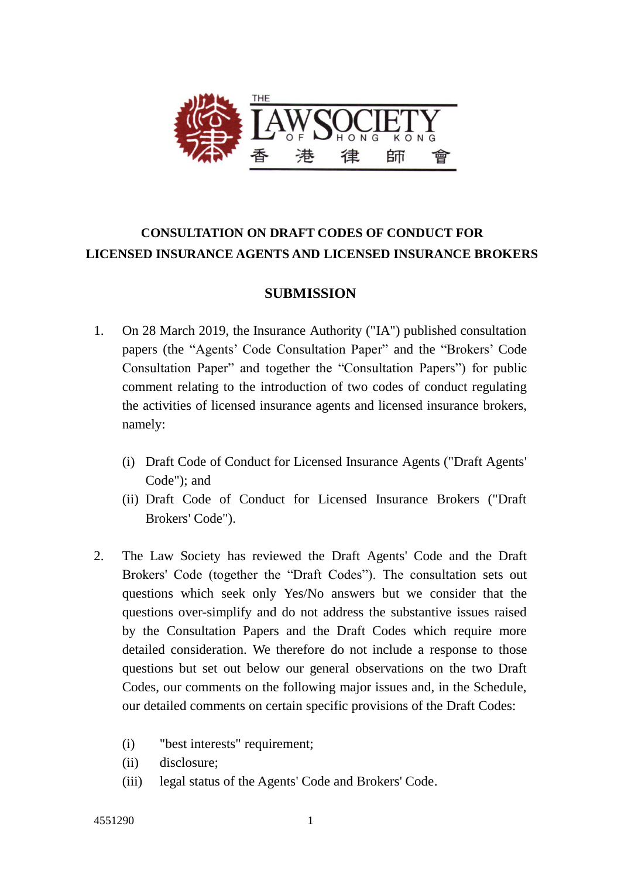

# **CONSULTATION ON DRAFT CODES OF CONDUCT FOR LICENSED INSURANCE AGENTS AND LICENSED INSURANCE BROKERS**

# **SUBMISSION**

- 1. On 28 March 2019, the Insurance Authority ("IA") published consultation papers (the "Agents' Code Consultation Paper" and the "Brokers' Code Consultation Paper" and together the "Consultation Papers") for public comment relating to the introduction of two codes of conduct regulating the activities of licensed insurance agents and licensed insurance brokers, namely:
	- (i) Draft Code of Conduct for Licensed Insurance Agents ("Draft Agents' Code"); and
	- (ii) Draft Code of Conduct for Licensed Insurance Brokers ("Draft Brokers' Code").
- 2. The Law Society has reviewed the Draft Agents' Code and the Draft Brokers' Code (together the "Draft Codes"). The consultation sets out questions which seek only Yes/No answers but we consider that the questions over-simplify and do not address the substantive issues raised by the Consultation Papers and the Draft Codes which require more detailed consideration. We therefore do not include a response to those questions but set out below our general observations on the two Draft Codes, our comments on the following major issues and, in the Schedule, our detailed comments on certain specific provisions of the Draft Codes:
	- (i) "best interests" requirement;
	- (ii) disclosure;
	- (iii) legal status of the Agents' Code and Brokers' Code.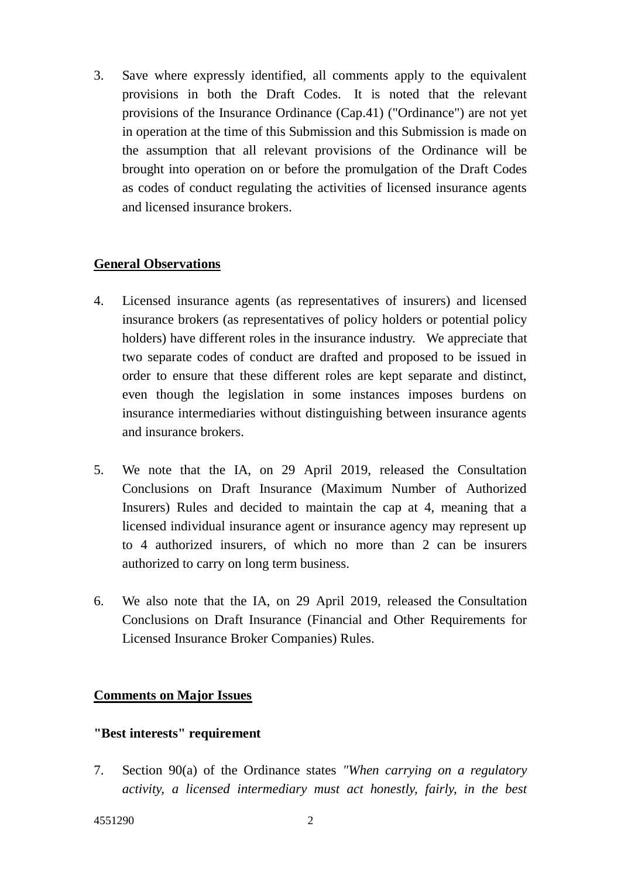3. Save where expressly identified, all comments apply to the equivalent provisions in both the Draft Codes. It is noted that the relevant provisions of the Insurance Ordinance (Cap.41) ("Ordinance") are not yet in operation at the time of this Submission and this Submission is made on the assumption that all relevant provisions of the Ordinance will be brought into operation on or before the promulgation of the Draft Codes as codes of conduct regulating the activities of licensed insurance agents and licensed insurance brokers.

## **General Observations**

- 4. Licensed insurance agents (as representatives of insurers) and licensed insurance brokers (as representatives of policy holders or potential policy holders) have different roles in the insurance industry. We appreciate that two separate codes of conduct are drafted and proposed to be issued in order to ensure that these different roles are kept separate and distinct, even though the legislation in some instances imposes burdens on insurance intermediaries without distinguishing between insurance agents and insurance brokers.
- 5. We note that the IA, on 29 April 2019, released the Consultation Conclusions on Draft Insurance (Maximum Number of Authorized Insurers) Rules and decided to maintain the cap at 4, meaning that a licensed individual insurance agent or insurance agency may represent up to 4 authorized insurers, of which no more than 2 can be insurers authorized to carry on long term business.
- 6. We also note that the IA, on 29 April 2019, released the Consultation Conclusions on Draft Insurance (Financial and Other Requirements for Licensed Insurance Broker Companies) Rules.

#### **Comments on Major Issues**

#### **"Best interests" requirement**

7. Section 90(a) of the Ordinance states *"When carrying on a regulatory activity, a licensed intermediary must act honestly, fairly, in the best*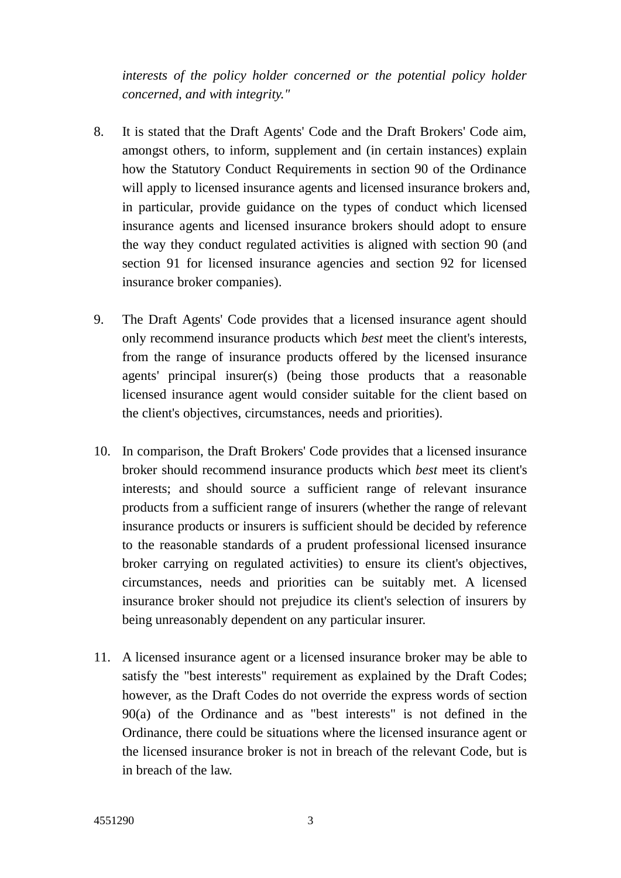*interests of the policy holder concerned or the potential policy holder concerned, and with integrity."*

- 8. It is stated that the Draft Agents' Code and the Draft Brokers' Code aim, amongst others, to inform, supplement and (in certain instances) explain how the Statutory Conduct Requirements in section 90 of the Ordinance will apply to licensed insurance agents and licensed insurance brokers and, in particular, provide guidance on the types of conduct which licensed insurance agents and licensed insurance brokers should adopt to ensure the way they conduct regulated activities is aligned with section 90 (and section 91 for licensed insurance agencies and section 92 for licensed insurance broker companies).
- 9. The Draft Agents' Code provides that a licensed insurance agent should only recommend insurance products which *best* meet the client's interests, from the range of insurance products offered by the licensed insurance agents' principal insurer(s) (being those products that a reasonable licensed insurance agent would consider suitable for the client based on the client's objectives, circumstances, needs and priorities).
- 10. In comparison, the Draft Brokers' Code provides that a licensed insurance broker should recommend insurance products which *best* meet its client's interests; and should source a sufficient range of relevant insurance products from a sufficient range of insurers (whether the range of relevant insurance products or insurers is sufficient should be decided by reference to the reasonable standards of a prudent professional licensed insurance broker carrying on regulated activities) to ensure its client's objectives, circumstances, needs and priorities can be suitably met. A licensed insurance broker should not prejudice its client's selection of insurers by being unreasonably dependent on any particular insurer.
- 11. A licensed insurance agent or a licensed insurance broker may be able to satisfy the "best interests" requirement as explained by the Draft Codes; however, as the Draft Codes do not override the express words of section 90(a) of the Ordinance and as "best interests" is not defined in the Ordinance, there could be situations where the licensed insurance agent or the licensed insurance broker is not in breach of the relevant Code, but is in breach of the law.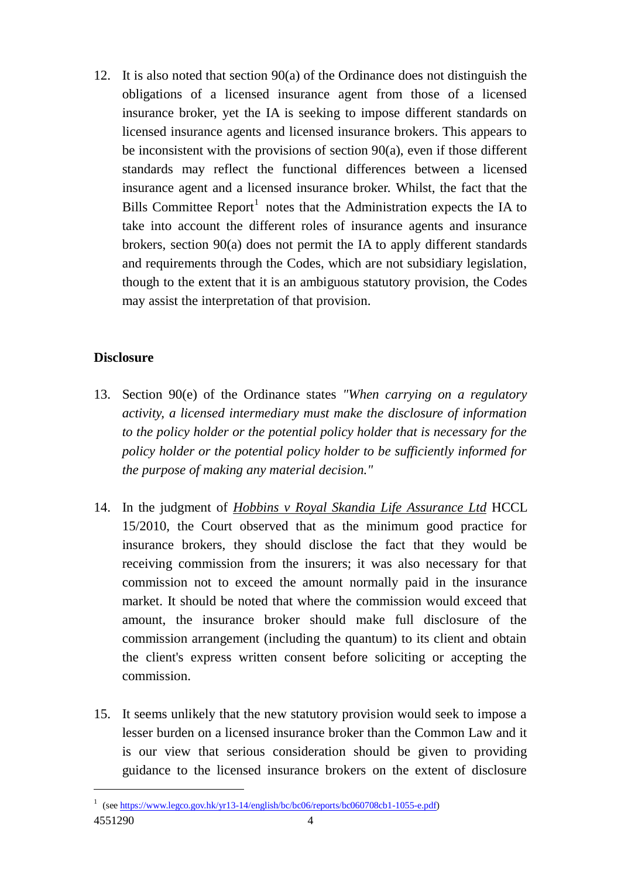12. It is also noted that section 90(a) of the Ordinance does not distinguish the obligations of a licensed insurance agent from those of a licensed insurance broker, yet the IA is seeking to impose different standards on licensed insurance agents and licensed insurance brokers. This appears to be inconsistent with the provisions of section  $90(a)$ , even if those different standards may reflect the functional differences between a licensed insurance agent and a licensed insurance broker. Whilst, the fact that the Bills Committee Report<sup>1</sup> notes that the Administration expects the IA to take into account the different roles of insurance agents and insurance brokers, section 90(a) does not permit the IA to apply different standards and requirements through the Codes, which are not subsidiary legislation, though to the extent that it is an ambiguous statutory provision, the Codes may assist the interpretation of that provision.

# **Disclosure**

<u>.</u>

- 13. Section 90(e) of the Ordinance states *"When carrying on a regulatory activity, a licensed intermediary must make the disclosure of information to the policy holder or the potential policy holder that is necessary for the policy holder or the potential policy holder to be sufficiently informed for the purpose of making any material decision."*
- 14. In the judgment of *Hobbins v Royal Skandia Life Assurance Ltd* HCCL 15/2010, the Court observed that as the minimum good practice for insurance brokers, they should disclose the fact that they would be receiving commission from the insurers; it was also necessary for that commission not to exceed the amount normally paid in the insurance market. It should be noted that where the commission would exceed that amount, the insurance broker should make full disclosure of the commission arrangement (including the quantum) to its client and obtain the client's express written consent before soliciting or accepting the commission.
- 15. It seems unlikely that the new statutory provision would seek to impose a lesser burden on a licensed insurance broker than the Common Law and it is our view that serious consideration should be given to providing guidance to the licensed insurance brokers on the extent of disclosure

<sup>4551290</sup> 4 <sup>1</sup> (see [https://www.legco.gov.hk/yr13-14/english/bc/bc06/reports/bc060708cb1-1055-e.pdf\)](https://www.legco.gov.hk/yr13-14/english/bc/bc06/reports/bc060708cb1-1055-e.pdf)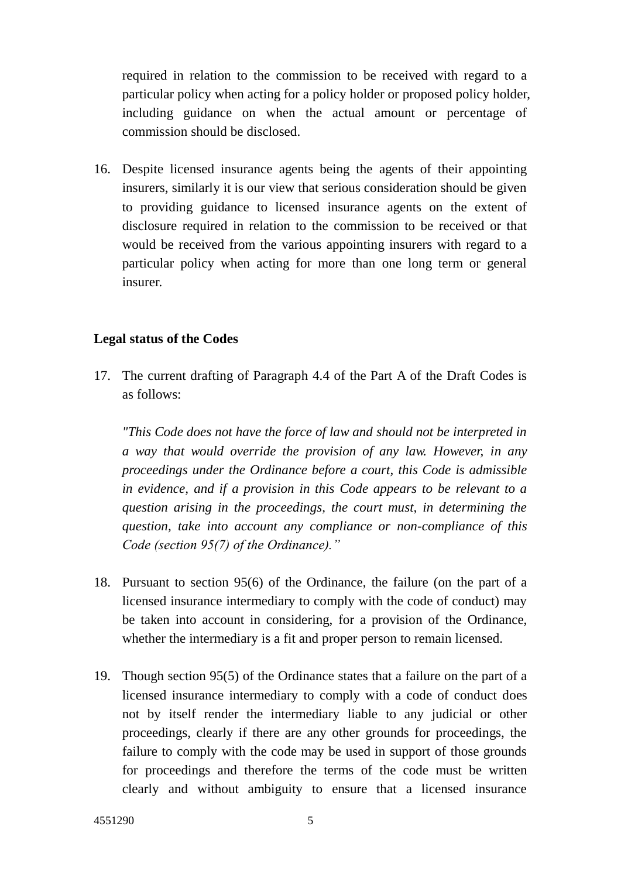required in relation to the commission to be received with regard to a particular policy when acting for a policy holder or proposed policy holder, including guidance on when the actual amount or percentage of commission should be disclosed.

16. Despite licensed insurance agents being the agents of their appointing insurers, similarly it is our view that serious consideration should be given to providing guidance to licensed insurance agents on the extent of disclosure required in relation to the commission to be received or that would be received from the various appointing insurers with regard to a particular policy when acting for more than one long term or general insurer.

#### **Legal status of the Codes**

17. The current drafting of Paragraph 4.4 of the Part A of the Draft Codes is as follows:

*"This Code does not have the force of law and should not be interpreted in a way that would override the provision of any law. However, in any proceedings under the Ordinance before a court, this Code is admissible in evidence, and if a provision in this Code appears to be relevant to a question arising in the proceedings, the court must, in determining the question, take into account any compliance or non-compliance of this Code (section 95(7) of the Ordinance)."* 

- 18. Pursuant to section 95(6) of the Ordinance, the failure (on the part of a licensed insurance intermediary to comply with the code of conduct) may be taken into account in considering, for a provision of the Ordinance, whether the intermediary is a fit and proper person to remain licensed.
- 19. Though section 95(5) of the Ordinance states that a failure on the part of a licensed insurance intermediary to comply with a code of conduct does not by itself render the intermediary liable to any judicial or other proceedings, clearly if there are any other grounds for proceedings, the failure to comply with the code may be used in support of those grounds for proceedings and therefore the terms of the code must be written clearly and without ambiguity to ensure that a licensed insurance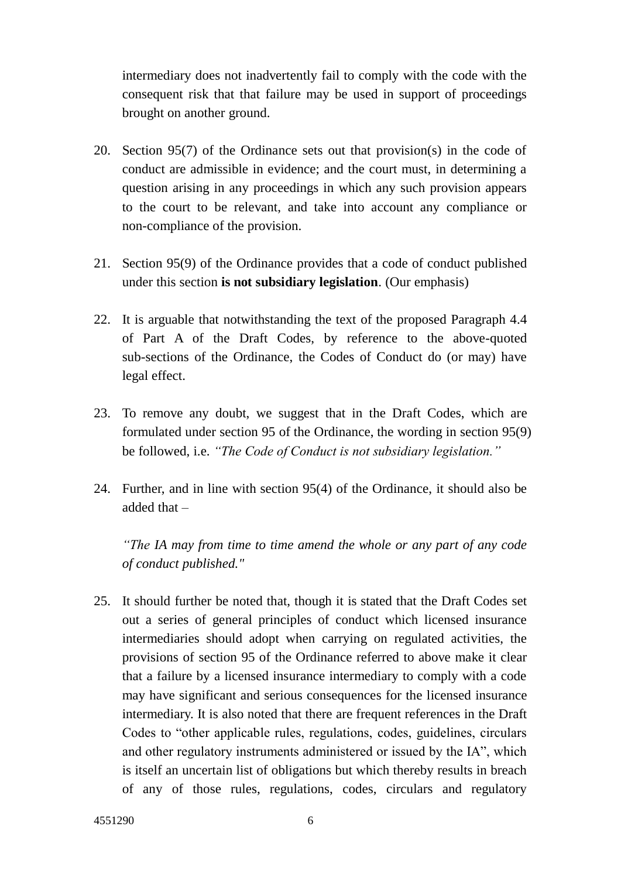intermediary does not inadvertently fail to comply with the code with the consequent risk that that failure may be used in support of proceedings brought on another ground.

- 20. Section 95(7) of the Ordinance sets out that provision(s) in the code of conduct are admissible in evidence; and the court must, in determining a question arising in any proceedings in which any such provision appears to the court to be relevant, and take into account any compliance or non-compliance of the provision.
- 21. Section 95(9) of the Ordinance provides that a code of conduct published under this section **is not subsidiary legislation**. (Our emphasis)
- 22. It is arguable that notwithstanding the text of the proposed Paragraph 4.4 of Part A of the Draft Codes, by reference to the above-quoted sub-sections of the Ordinance, the Codes of Conduct do (or may) have legal effect.
- 23. To remove any doubt, we suggest that in the Draft Codes, which are formulated under section 95 of the Ordinance, the wording in section 95(9) be followed, i.e. *"The Code of Conduct is not subsidiary legislation."*
- 24. Further, and in line with section 95(4) of the Ordinance, it should also be added that –

*"The IA may from time to time amend the whole or any part of any code of conduct published."*

25. It should further be noted that, though it is stated that the Draft Codes set out a series of general principles of conduct which licensed insurance intermediaries should adopt when carrying on regulated activities, the provisions of section 95 of the Ordinance referred to above make it clear that a failure by a licensed insurance intermediary to comply with a code may have significant and serious consequences for the licensed insurance intermediary. It is also noted that there are frequent references in the Draft Codes to "other applicable rules, regulations, codes, guidelines, circulars and other regulatory instruments administered or issued by the IA", which is itself an uncertain list of obligations but which thereby results in breach of any of those rules, regulations, codes, circulars and regulatory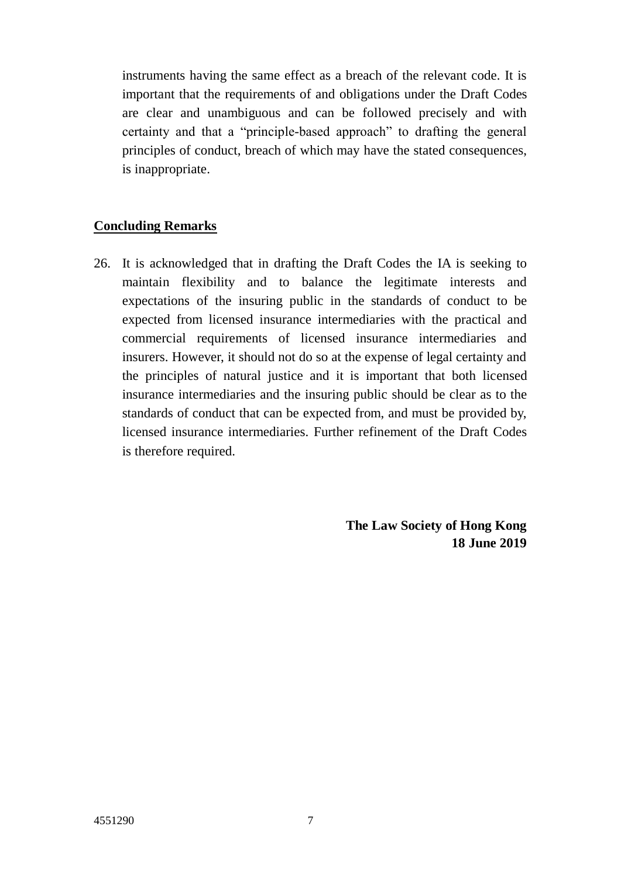instruments having the same effect as a breach of the relevant code. It is important that the requirements of and obligations under the Draft Codes are clear and unambiguous and can be followed precisely and with certainty and that a "principle-based approach" to drafting the general principles of conduct, breach of which may have the stated consequences, is inappropriate.

# **Concluding Remarks**

26. It is acknowledged that in drafting the Draft Codes the IA is seeking to maintain flexibility and to balance the legitimate interests and expectations of the insuring public in the standards of conduct to be expected from licensed insurance intermediaries with the practical and commercial requirements of licensed insurance intermediaries and insurers. However, it should not do so at the expense of legal certainty and the principles of natural justice and it is important that both licensed insurance intermediaries and the insuring public should be clear as to the standards of conduct that can be expected from, and must be provided by, licensed insurance intermediaries. Further refinement of the Draft Codes is therefore required.

> **The Law Society of Hong Kong 18 June 2019**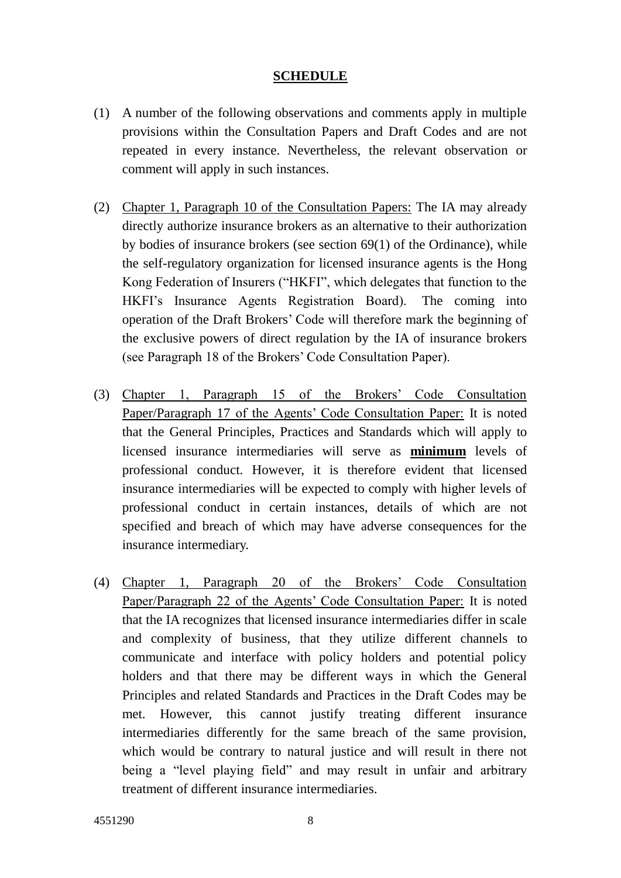## **SCHEDULE**

- (1) A number of the following observations and comments apply in multiple provisions within the Consultation Papers and Draft Codes and are not repeated in every instance. Nevertheless, the relevant observation or comment will apply in such instances.
- (2) Chapter 1, Paragraph 10 of the Consultation Papers: The IA may already directly authorize insurance brokers as an alternative to their authorization by bodies of insurance brokers (see section 69(1) of the Ordinance), while the self-regulatory organization for licensed insurance agents is the Hong Kong Federation of Insurers ("HKFI", which delegates that function to the HKFI's Insurance Agents Registration Board). The coming into operation of the Draft Brokers' Code will therefore mark the beginning of the exclusive powers of direct regulation by the IA of insurance brokers (see Paragraph 18 of the Brokers' Code Consultation Paper).
- (3) Chapter 1, Paragraph 15 of the Brokers' Code Consultation Paper/Paragraph 17 of the Agents' Code Consultation Paper: It is noted that the General Principles, Practices and Standards which will apply to licensed insurance intermediaries will serve as **minimum** levels of professional conduct. However, it is therefore evident that licensed insurance intermediaries will be expected to comply with higher levels of professional conduct in certain instances, details of which are not specified and breach of which may have adverse consequences for the insurance intermediary.
- (4) Chapter 1, Paragraph 20 of the Brokers' Code Consultation Paper/Paragraph 22 of the Agents' Code Consultation Paper: It is noted that the IA recognizes that licensed insurance intermediaries differ in scale and complexity of business, that they utilize different channels to communicate and interface with policy holders and potential policy holders and that there may be different ways in which the General Principles and related Standards and Practices in the Draft Codes may be met. However, this cannot justify treating different insurance intermediaries differently for the same breach of the same provision, which would be contrary to natural justice and will result in there not being a "level playing field" and may result in unfair and arbitrary treatment of different insurance intermediaries.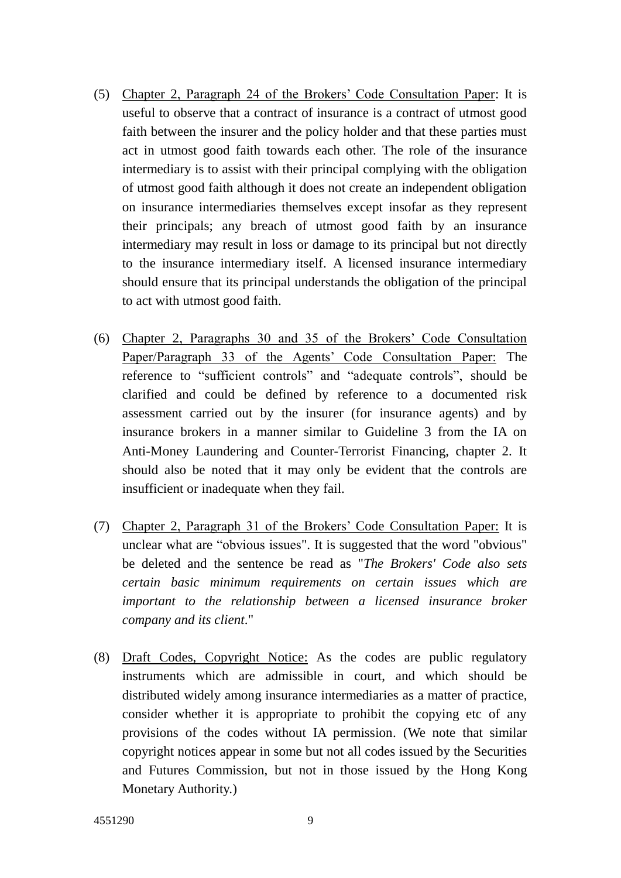- (5) Chapter 2, Paragraph 24 of the Brokers' Code Consultation Paper: It is useful to observe that a contract of insurance is a contract of utmost good faith between the insurer and the policy holder and that these parties must act in utmost good faith towards each other. The role of the insurance intermediary is to assist with their principal complying with the obligation of utmost good faith although it does not create an independent obligation on insurance intermediaries themselves except insofar as they represent their principals; any breach of utmost good faith by an insurance intermediary may result in loss or damage to its principal but not directly to the insurance intermediary itself. A licensed insurance intermediary should ensure that its principal understands the obligation of the principal to act with utmost good faith.
- (6) Chapter 2, Paragraphs 30 and 35 of the Brokers' Code Consultation Paper/Paragraph 33 of the Agents' Code Consultation Paper: The reference to "sufficient controls" and "adequate controls", should be clarified and could be defined by reference to a documented risk assessment carried out by the insurer (for insurance agents) and by insurance brokers in a manner similar to Guideline 3 from the IA on Anti-Money Laundering and Counter-Terrorist Financing, chapter 2. It should also be noted that it may only be evident that the controls are insufficient or inadequate when they fail.
- (7) Chapter 2, Paragraph 31 of the Brokers' Code Consultation Paper: It is unclear what are "obvious issues". It is suggested that the word "obvious" be deleted and the sentence be read as "*The Brokers' Code also sets certain basic minimum requirements on certain issues which are important to the relationship between a licensed insurance broker company and its client*."
- (8) Draft Codes, Copyright Notice: As the codes are public regulatory instruments which are admissible in court, and which should be distributed widely among insurance intermediaries as a matter of practice, consider whether it is appropriate to prohibit the copying etc of any provisions of the codes without IA permission. (We note that similar copyright notices appear in some but not all codes issued by the Securities and Futures Commission, but not in those issued by the Hong Kong Monetary Authority.)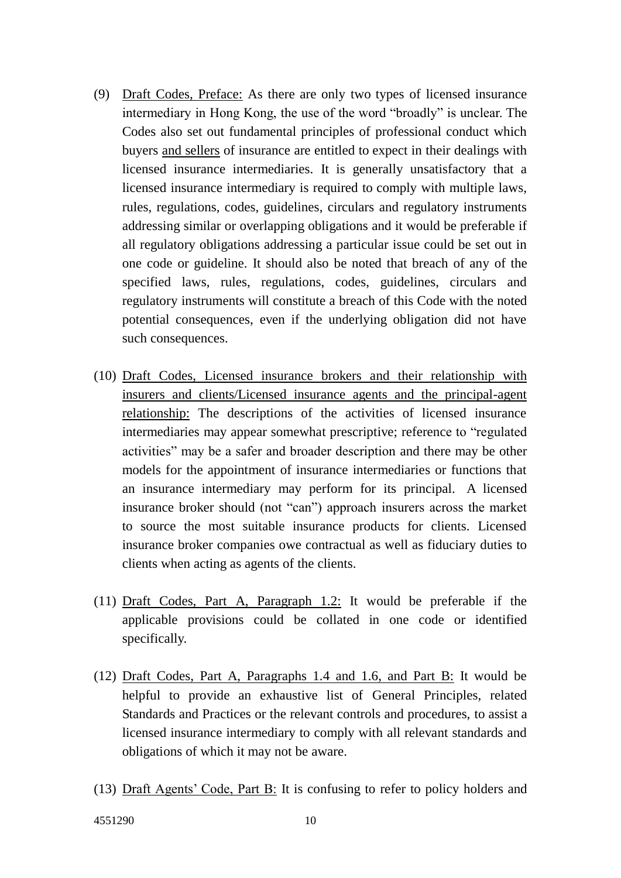- (9) Draft Codes, Preface: As there are only two types of licensed insurance intermediary in Hong Kong, the use of the word "broadly" is unclear. The Codes also set out fundamental principles of professional conduct which buyers and sellers of insurance are entitled to expect in their dealings with licensed insurance intermediaries. It is generally unsatisfactory that a licensed insurance intermediary is required to comply with multiple laws, rules, regulations, codes, guidelines, circulars and regulatory instruments addressing similar or overlapping obligations and it would be preferable if all regulatory obligations addressing a particular issue could be set out in one code or guideline. It should also be noted that breach of any of the specified laws, rules, regulations, codes, guidelines, circulars and regulatory instruments will constitute a breach of this Code with the noted potential consequences, even if the underlying obligation did not have such consequences.
- (10) Draft Codes, Licensed insurance brokers and their relationship with insurers and clients/Licensed insurance agents and the principal-agent relationship: The descriptions of the activities of licensed insurance intermediaries may appear somewhat prescriptive; reference to "regulated activities" may be a safer and broader description and there may be other models for the appointment of insurance intermediaries or functions that an insurance intermediary may perform for its principal. A licensed insurance broker should (not "can") approach insurers across the market to source the most suitable insurance products for clients. Licensed insurance broker companies owe contractual as well as fiduciary duties to clients when acting as agents of the clients.
- (11) Draft Codes, Part A, Paragraph 1.2: It would be preferable if the applicable provisions could be collated in one code or identified specifically.
- (12) Draft Codes, Part A, Paragraphs 1.4 and 1.6, and Part B: It would be helpful to provide an exhaustive list of General Principles, related Standards and Practices or the relevant controls and procedures, to assist a licensed insurance intermediary to comply with all relevant standards and obligations of which it may not be aware.
- (13) Draft Agents' Code, Part B: It is confusing to refer to policy holders and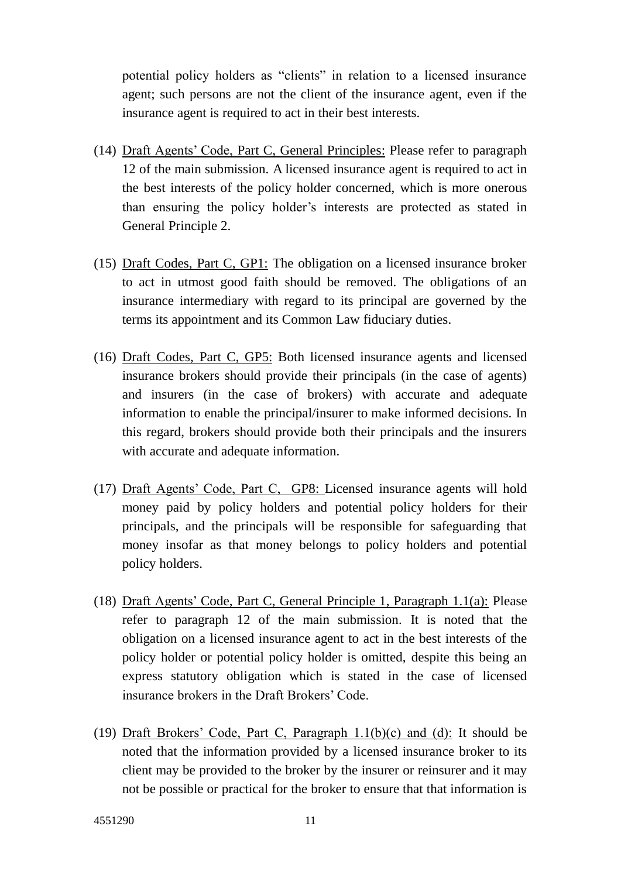potential policy holders as "clients" in relation to a licensed insurance agent; such persons are not the client of the insurance agent, even if the insurance agent is required to act in their best interests.

- (14) Draft Agents' Code, Part C, General Principles: Please refer to paragraph 12 of the main submission. A licensed insurance agent is required to act in the best interests of the policy holder concerned, which is more onerous than ensuring the policy holder's interests are protected as stated in General Principle 2.
- (15) Draft Codes, Part C, GP1: The obligation on a licensed insurance broker to act in utmost good faith should be removed. The obligations of an insurance intermediary with regard to its principal are governed by the terms its appointment and its Common Law fiduciary duties.
- (16) Draft Codes, Part C, GP5: Both licensed insurance agents and licensed insurance brokers should provide their principals (in the case of agents) and insurers (in the case of brokers) with accurate and adequate information to enable the principal/insurer to make informed decisions. In this regard, brokers should provide both their principals and the insurers with accurate and adequate information.
- (17) Draft Agents' Code, Part C, GP8: Licensed insurance agents will hold money paid by policy holders and potential policy holders for their principals, and the principals will be responsible for safeguarding that money insofar as that money belongs to policy holders and potential policy holders.
- (18) Draft Agents' Code, Part C, General Principle 1, Paragraph 1.1(a): Please refer to paragraph 12 of the main submission. It is noted that the obligation on a licensed insurance agent to act in the best interests of the policy holder or potential policy holder is omitted, despite this being an express statutory obligation which is stated in the case of licensed insurance brokers in the Draft Brokers' Code.
- (19) Draft Brokers' Code, Part C, Paragraph 1.1(b)(c) and (d): It should be noted that the information provided by a licensed insurance broker to its client may be provided to the broker by the insurer or reinsurer and it may not be possible or practical for the broker to ensure that that information is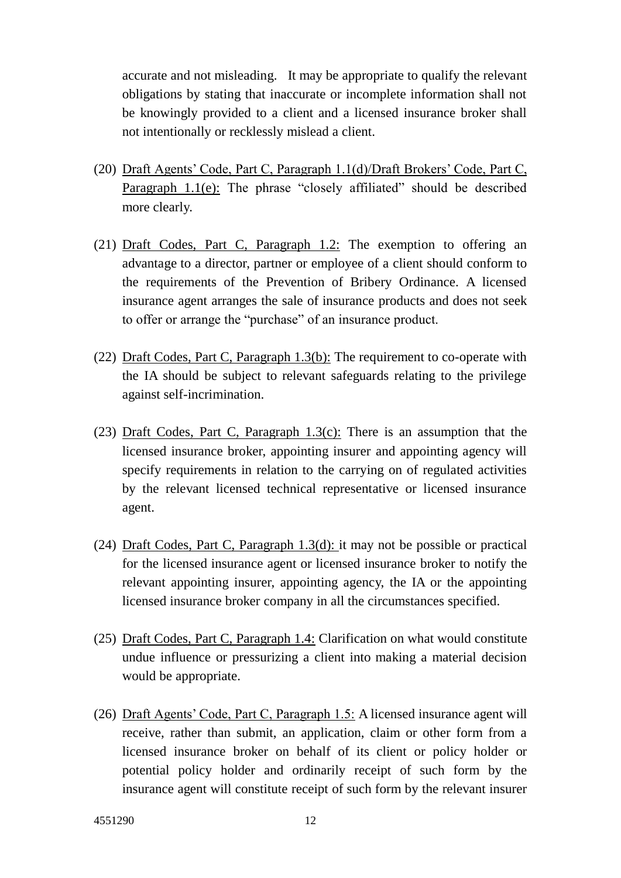accurate and not misleading. It may be appropriate to qualify the relevant obligations by stating that inaccurate or incomplete information shall not be knowingly provided to a client and a licensed insurance broker shall not intentionally or recklessly mislead a client.

- (20) Draft Agents' Code, Part C, Paragraph 1.1(d)/Draft Brokers' Code, Part C, Paragraph 1.1(e): The phrase "closely affiliated" should be described more clearly.
- (21) Draft Codes, Part C, Paragraph 1.2: The exemption to offering an advantage to a director, partner or employee of a client should conform to the requirements of the Prevention of Bribery Ordinance. A licensed insurance agent arranges the sale of insurance products and does not seek to offer or arrange the "purchase" of an insurance product.
- (22) Draft Codes, Part C, Paragraph 1.3(b): The requirement to co-operate with the IA should be subject to relevant safeguards relating to the privilege against self-incrimination.
- (23) Draft Codes, Part C, Paragraph 1.3(c): There is an assumption that the licensed insurance broker, appointing insurer and appointing agency will specify requirements in relation to the carrying on of regulated activities by the relevant licensed technical representative or licensed insurance agent.
- (24) Draft Codes, Part C, Paragraph 1.3(d): it may not be possible or practical for the licensed insurance agent or licensed insurance broker to notify the relevant appointing insurer, appointing agency, the IA or the appointing licensed insurance broker company in all the circumstances specified.
- (25) Draft Codes, Part C, Paragraph 1.4: Clarification on what would constitute undue influence or pressurizing a client into making a material decision would be appropriate.
- (26) Draft Agents' Code, Part C, Paragraph 1.5: A licensed insurance agent will receive, rather than submit, an application, claim or other form from a licensed insurance broker on behalf of its client or policy holder or potential policy holder and ordinarily receipt of such form by the insurance agent will constitute receipt of such form by the relevant insurer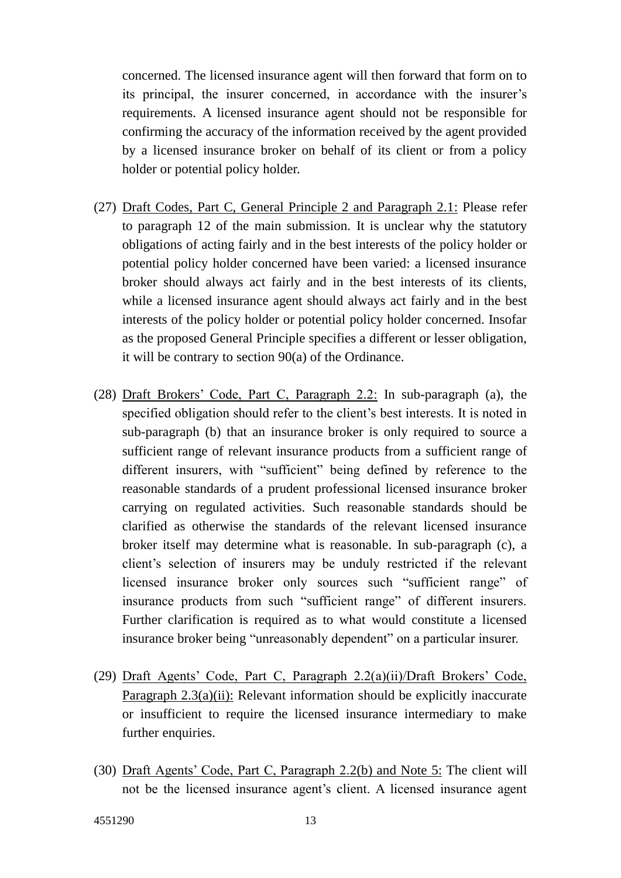concerned. The licensed insurance agent will then forward that form on to its principal, the insurer concerned, in accordance with the insurer's requirements. A licensed insurance agent should not be responsible for confirming the accuracy of the information received by the agent provided by a licensed insurance broker on behalf of its client or from a policy holder or potential policy holder.

- (27) Draft Codes, Part C, General Principle 2 and Paragraph 2.1: Please refer to paragraph 12 of the main submission. It is unclear why the statutory obligations of acting fairly and in the best interests of the policy holder or potential policy holder concerned have been varied: a licensed insurance broker should always act fairly and in the best interests of its clients, while a licensed insurance agent should always act fairly and in the best interests of the policy holder or potential policy holder concerned. Insofar as the proposed General Principle specifies a different or lesser obligation, it will be contrary to section 90(a) of the Ordinance.
- (28) Draft Brokers' Code, Part C, Paragraph 2.2: In sub-paragraph (a), the specified obligation should refer to the client's best interests. It is noted in sub-paragraph (b) that an insurance broker is only required to source a sufficient range of relevant insurance products from a sufficient range of different insurers, with "sufficient" being defined by reference to the reasonable standards of a prudent professional licensed insurance broker carrying on regulated activities. Such reasonable standards should be clarified as otherwise the standards of the relevant licensed insurance broker itself may determine what is reasonable. In sub-paragraph (c), a client's selection of insurers may be unduly restricted if the relevant licensed insurance broker only sources such "sufficient range" of insurance products from such "sufficient range" of different insurers. Further clarification is required as to what would constitute a licensed insurance broker being "unreasonably dependent" on a particular insurer.
- (29) Draft Agents' Code, Part C, Paragraph 2.2(a)(ii)/Draft Brokers' Code, Paragraph  $2.3(a)(ii)$ : Relevant information should be explicitly inaccurate or insufficient to require the licensed insurance intermediary to make further enquiries.
- (30) Draft Agents' Code, Part C, Paragraph 2.2(b) and Note 5: The client will not be the licensed insurance agent's client. A licensed insurance agent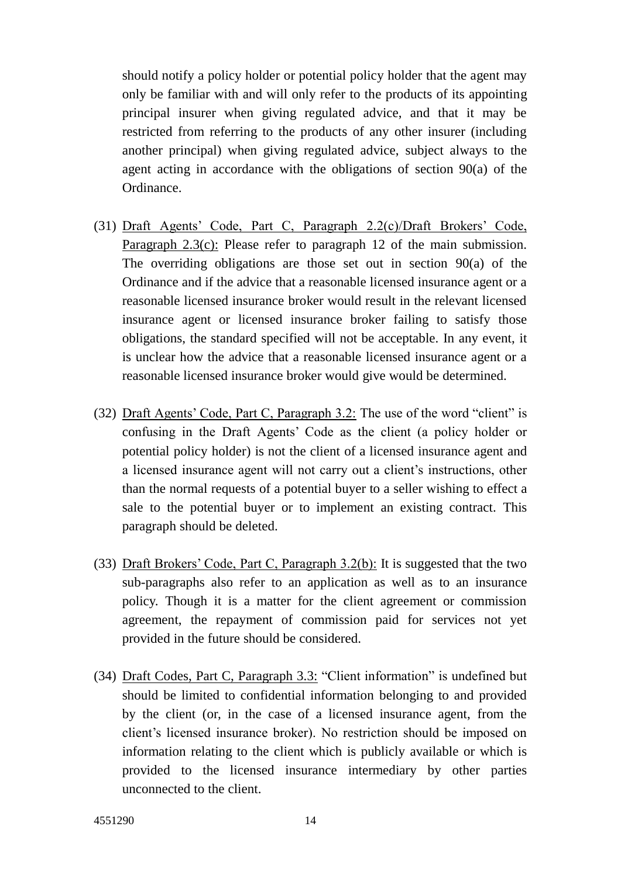should notify a policy holder or potential policy holder that the agent may only be familiar with and will only refer to the products of its appointing principal insurer when giving regulated advice, and that it may be restricted from referring to the products of any other insurer (including another principal) when giving regulated advice, subject always to the agent acting in accordance with the obligations of section 90(a) of the Ordinance.

- (31) Draft Agents' Code, Part C, Paragraph 2.2(c)/Draft Brokers' Code, Paragraph 2.3(c): Please refer to paragraph 12 of the main submission. The overriding obligations are those set out in section 90(a) of the Ordinance and if the advice that a reasonable licensed insurance agent or a reasonable licensed insurance broker would result in the relevant licensed insurance agent or licensed insurance broker failing to satisfy those obligations, the standard specified will not be acceptable. In any event, it is unclear how the advice that a reasonable licensed insurance agent or a reasonable licensed insurance broker would give would be determined.
- (32) Draft Agents' Code, Part C, Paragraph 3.2: The use of the word "client" is confusing in the Draft Agents' Code as the client (a policy holder or potential policy holder) is not the client of a licensed insurance agent and a licensed insurance agent will not carry out a client's instructions, other than the normal requests of a potential buyer to a seller wishing to effect a sale to the potential buyer or to implement an existing contract. This paragraph should be deleted.
- (33) Draft Brokers' Code, Part C, Paragraph 3.2(b): It is suggested that the two sub-paragraphs also refer to an application as well as to an insurance policy. Though it is a matter for the client agreement or commission agreement, the repayment of commission paid for services not yet provided in the future should be considered.
- (34) Draft Codes, Part C, Paragraph 3.3: "Client information" is undefined but should be limited to confidential information belonging to and provided by the client (or, in the case of a licensed insurance agent, from the client's licensed insurance broker). No restriction should be imposed on information relating to the client which is publicly available or which is provided to the licensed insurance intermediary by other parties unconnected to the client.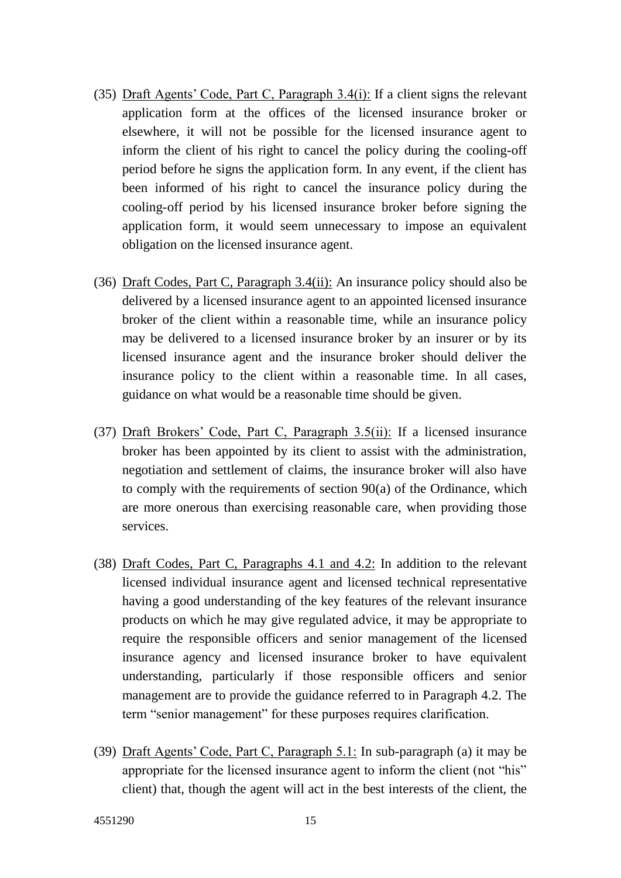- (35) Draft Agents' Code, Part C, Paragraph 3.4(i): If a client signs the relevant application form at the offices of the licensed insurance broker or elsewhere, it will not be possible for the licensed insurance agent to inform the client of his right to cancel the policy during the cooling-off period before he signs the application form. In any event, if the client has been informed of his right to cancel the insurance policy during the cooling-off period by his licensed insurance broker before signing the application form, it would seem unnecessary to impose an equivalent obligation on the licensed insurance agent.
- (36) Draft Codes, Part C, Paragraph 3.4(ii): An insurance policy should also be delivered by a licensed insurance agent to an appointed licensed insurance broker of the client within a reasonable time, while an insurance policy may be delivered to a licensed insurance broker by an insurer or by its licensed insurance agent and the insurance broker should deliver the insurance policy to the client within a reasonable time. In all cases, guidance on what would be a reasonable time should be given.
- (37) Draft Brokers' Code, Part C, Paragraph 3.5(ii): If a licensed insurance broker has been appointed by its client to assist with the administration, negotiation and settlement of claims, the insurance broker will also have to comply with the requirements of section 90(a) of the Ordinance, which are more onerous than exercising reasonable care, when providing those services.
- (38) Draft Codes, Part C, Paragraphs 4.1 and 4.2: In addition to the relevant licensed individual insurance agent and licensed technical representative having a good understanding of the key features of the relevant insurance products on which he may give regulated advice, it may be appropriate to require the responsible officers and senior management of the licensed insurance agency and licensed insurance broker to have equivalent understanding, particularly if those responsible officers and senior management are to provide the guidance referred to in Paragraph 4.2. The term "senior management" for these purposes requires clarification.
- (39) Draft Agents' Code, Part C, Paragraph 5.1: In sub-paragraph (a) it may be appropriate for the licensed insurance agent to inform the client (not "his" client) that, though the agent will act in the best interests of the client, the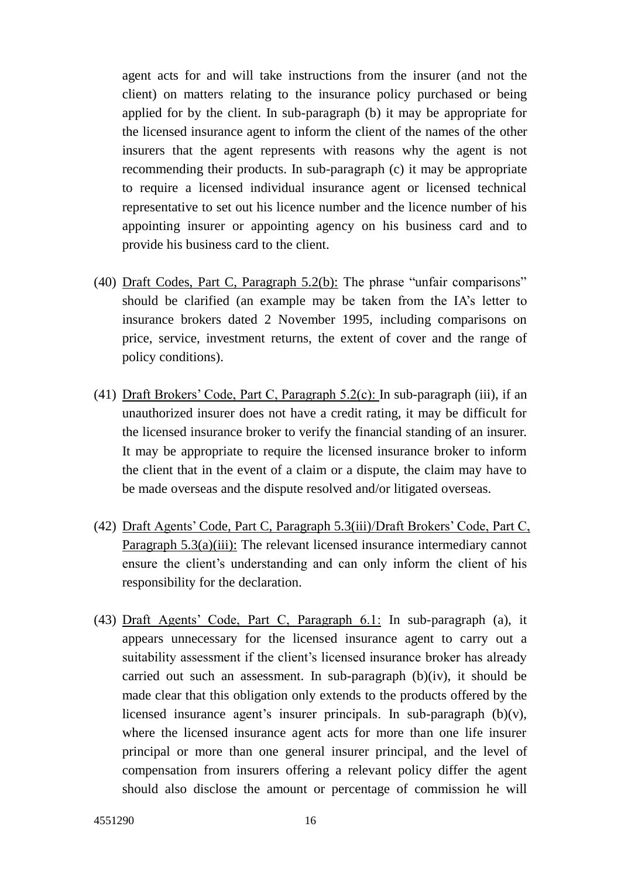agent acts for and will take instructions from the insurer (and not the client) on matters relating to the insurance policy purchased or being applied for by the client. In sub-paragraph (b) it may be appropriate for the licensed insurance agent to inform the client of the names of the other insurers that the agent represents with reasons why the agent is not recommending their products. In sub-paragraph (c) it may be appropriate to require a licensed individual insurance agent or licensed technical representative to set out his licence number and the licence number of his appointing insurer or appointing agency on his business card and to provide his business card to the client.

- (40) Draft Codes, Part C, Paragraph 5.2(b): The phrase "unfair comparisons" should be clarified (an example may be taken from the IA's letter to insurance brokers dated 2 November 1995, including comparisons on price, service, investment returns, the extent of cover and the range of policy conditions).
- (41) Draft Brokers' Code, Part C, Paragraph 5.2(c): In sub-paragraph (iii), if an unauthorized insurer does not have a credit rating, it may be difficult for the licensed insurance broker to verify the financial standing of an insurer. It may be appropriate to require the licensed insurance broker to inform the client that in the event of a claim or a dispute, the claim may have to be made overseas and the dispute resolved and/or litigated overseas.
- (42) Draft Agents' Code, Part C, Paragraph 5.3(iii)/Draft Brokers' Code, Part C, Paragraph  $5.3(a)(iii)$ : The relevant licensed insurance intermediary cannot ensure the client's understanding and can only inform the client of his responsibility for the declaration.
- (43) Draft Agents' Code, Part C, Paragraph 6.1: In sub-paragraph (a), it appears unnecessary for the licensed insurance agent to carry out a suitability assessment if the client's licensed insurance broker has already carried out such an assessment. In sub-paragraph (b)(iv), it should be made clear that this obligation only extends to the products offered by the licensed insurance agent's insurer principals. In sub-paragraph (b)(v), where the licensed insurance agent acts for more than one life insurer principal or more than one general insurer principal, and the level of compensation from insurers offering a relevant policy differ the agent should also disclose the amount or percentage of commission he will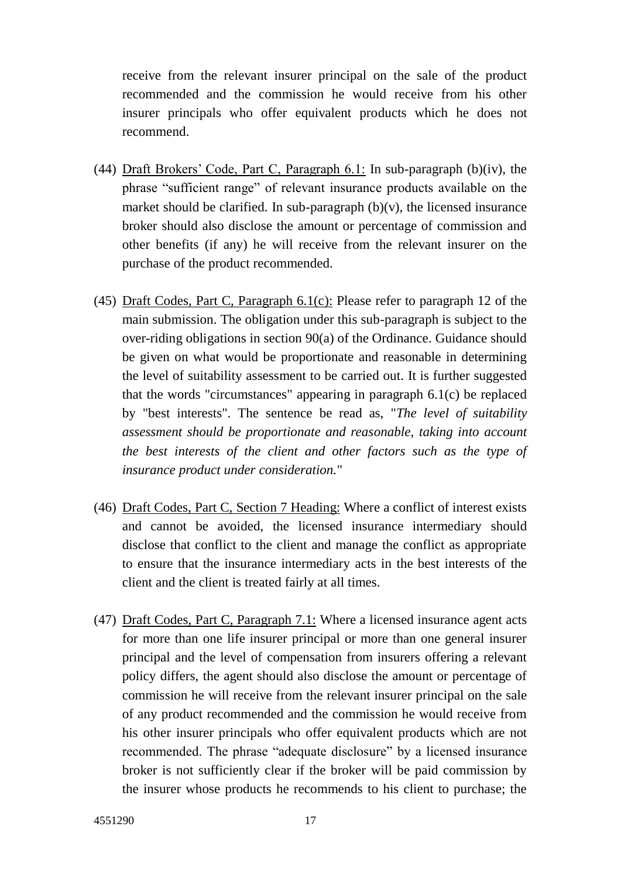receive from the relevant insurer principal on the sale of the product recommended and the commission he would receive from his other insurer principals who offer equivalent products which he does not recommend.

- (44) Draft Brokers' Code, Part C, Paragraph 6.1: In sub-paragraph (b)(iv), the phrase "sufficient range" of relevant insurance products available on the market should be clarified. In sub-paragraph  $(b)(v)$ , the licensed insurance broker should also disclose the amount or percentage of commission and other benefits (if any) he will receive from the relevant insurer on the purchase of the product recommended.
- (45) Draft Codes, Part C, Paragraph 6.1(c): Please refer to paragraph 12 of the main submission. The obligation under this sub-paragraph is subject to the over-riding obligations in section 90(a) of the Ordinance. Guidance should be given on what would be proportionate and reasonable in determining the level of suitability assessment to be carried out. It is further suggested that the words "circumstances" appearing in paragraph 6.1(c) be replaced by "best interests". The sentence be read as, "*The level of suitability assessment should be proportionate and reasonable, taking into account the best interests of the client and other factors such as the type of insurance product under consideration.*"
- (46) Draft Codes, Part C, Section 7 Heading: Where a conflict of interest exists and cannot be avoided, the licensed insurance intermediary should disclose that conflict to the client and manage the conflict as appropriate to ensure that the insurance intermediary acts in the best interests of the client and the client is treated fairly at all times.
- (47) Draft Codes, Part C, Paragraph 7.1: Where a licensed insurance agent acts for more than one life insurer principal or more than one general insurer principal and the level of compensation from insurers offering a relevant policy differs, the agent should also disclose the amount or percentage of commission he will receive from the relevant insurer principal on the sale of any product recommended and the commission he would receive from his other insurer principals who offer equivalent products which are not recommended. The phrase "adequate disclosure" by a licensed insurance broker is not sufficiently clear if the broker will be paid commission by the insurer whose products he recommends to his client to purchase; the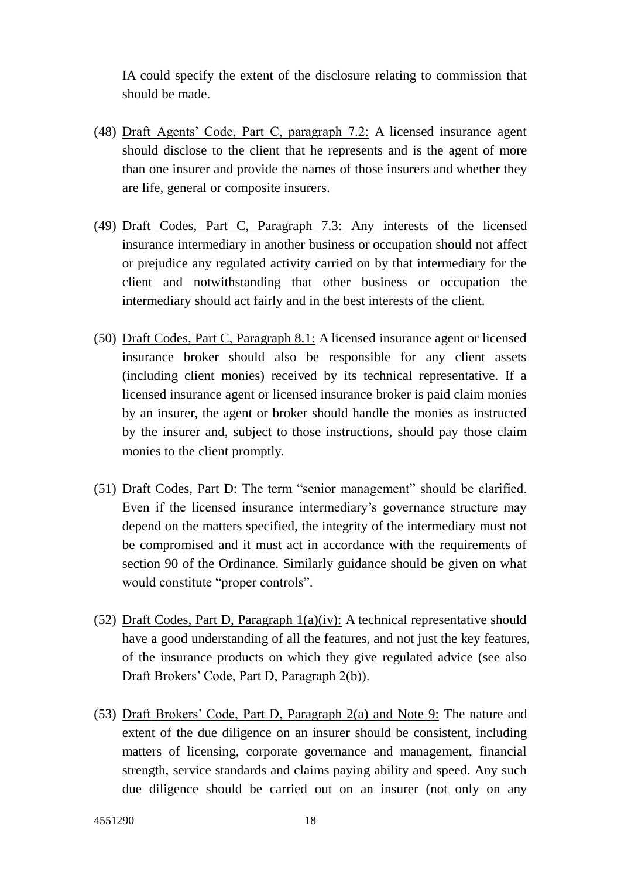IA could specify the extent of the disclosure relating to commission that should be made.

- (48) Draft Agents' Code, Part C, paragraph 7.2: A licensed insurance agent should disclose to the client that he represents and is the agent of more than one insurer and provide the names of those insurers and whether they are life, general or composite insurers.
- (49) Draft Codes, Part C, Paragraph 7.3: Any interests of the licensed insurance intermediary in another business or occupation should not affect or prejudice any regulated activity carried on by that intermediary for the client and notwithstanding that other business or occupation the intermediary should act fairly and in the best interests of the client.
- (50) Draft Codes, Part C, Paragraph 8.1: A licensed insurance agent or licensed insurance broker should also be responsible for any client assets (including client monies) received by its technical representative. If a licensed insurance agent or licensed insurance broker is paid claim monies by an insurer, the agent or broker should handle the monies as instructed by the insurer and, subject to those instructions, should pay those claim monies to the client promptly.
- (51) Draft Codes, Part D: The term "senior management" should be clarified. Even if the licensed insurance intermediary's governance structure may depend on the matters specified, the integrity of the intermediary must not be compromised and it must act in accordance with the requirements of section 90 of the Ordinance. Similarly guidance should be given on what would constitute "proper controls".
- (52) Draft Codes, Part D, Paragraph  $1(a)(iv)$ : A technical representative should have a good understanding of all the features, and not just the key features, of the insurance products on which they give regulated advice (see also Draft Brokers' Code, Part D, Paragraph 2(b)).
- (53) Draft Brokers' Code, Part D, Paragraph 2(a) and Note 9: The nature and extent of the due diligence on an insurer should be consistent, including matters of licensing, corporate governance and management, financial strength, service standards and claims paying ability and speed. Any such due diligence should be carried out on an insurer (not only on any